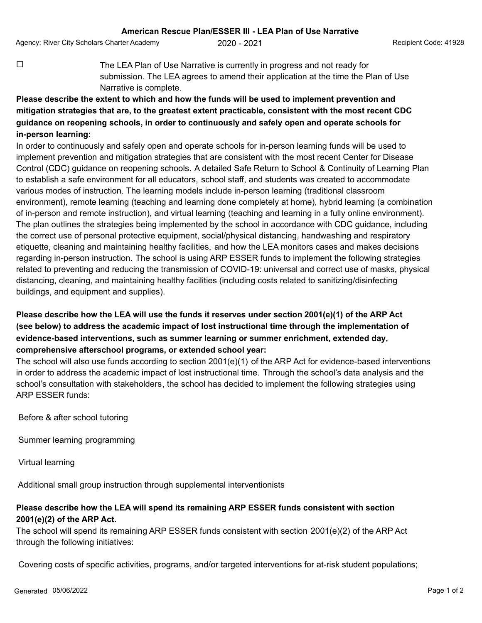Agency: River City Scholars Charter Academy **2020 - 2021** Agency: Recipient Code: 41928

 $\Box$  The LEA Plan of Use Narrative is currently in progress and not ready for submission. The LEA agrees to amend their application at the time the Plan of Use Narrative is complete.

## **Please describe the extent to which and how the funds will be used to implement prevention and mitigation strategies that are, to the greatest extent practicable, consistent with the most recent CDC guidance on reopening schools, in order to continuously and safely open and operate schools for in-person learning:**

In order to continuously and safely open and operate schools for in-person learning funds will be used to implement prevention and mitigation strategies that are consistent with the most recent Center for Disease Control (CDC) guidance on reopening schools. A detailed Safe Return to School & Continuity of Learning Plan to establish a safe environment for all educators, school staff, and students was created to accommodate various modes of instruction. The learning models include in-person learning (traditional classroom environment), remote learning (teaching and learning done completely at home), hybrid learning (a combination of in-person and remote instruction), and virtual learning (teaching and learning in a fully online environment). The plan outlines the strategies being implemented by the school in accordance with CDC guidance, including the correct use of personal protective equipment, social/physical distancing, handwashing and respiratory etiquette, cleaning and maintaining healthy facilities, and how the LEA monitors cases and makes decisions regarding in-person instruction. The school is using ARP ESSER funds to implement the following strategies related to preventing and reducing the transmission of COVID-19: universal and correct use of masks, physical distancing, cleaning, and maintaining healthy facilities (including costs related to sanitizing/disinfecting buildings, and equipment and supplies).

## **Please describe how the LEA will use the funds it reserves under section 2001(e)(1) of the ARP Act (see below) to address the academic impact of lost instructional time through the implementation of evidence-based interventions, such as summer learning or summer enrichment, extended day, comprehensive afterschool programs, or extended school year:**

The school will also use funds according to section 2001(e)(1) of the ARP Act for evidence-based interventions in order to address the academic impact of lost instructional time. Through the school's data analysis and the school's consultation with stakeholders, the school has decided to implement the following strategies using ARP ESSER funds:

Before & after school tutoring

Summer learning programming

Virtual learning

Additional small group instruction through supplemental interventionists

## **Please describe how the LEA will spend its remaining ARP ESSER funds consistent with section 2001(e)(2) of the ARP Act.**

The school will spend its remaining ARP ESSER funds consistent with section 2001(e)(2) of the ARP Act through the following initiatives:

Covering costs of specific activities, programs, and/or targeted interventions for at-risk student populations;